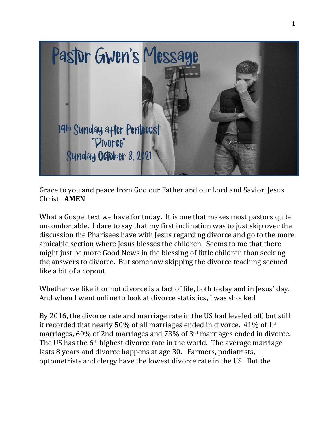

Grace to you and peace from God our Father and our Lord and Savior, Jesus Christ. **AMEN**

What a Gospel text we have for today. It is one that makes most pastors quite uncomfortable. I dare to say that my first inclination was to just skip over the discussion the Pharisees have with Jesus regarding divorce and go to the more amicable section where Jesus blesses the children. Seems to me that there might just be more Good News in the blessing of little children than seeking the answers to divorce. But somehow skipping the divorce teaching seemed like a bit of a copout.

Whether we like it or not divorce is a fact of life, both today and in Jesus' day. And when I went online to look at divorce statistics, I was shocked.

By 2016, the divorce rate and marriage rate in the US had leveled off, but still it recorded that nearly 50% of all marriages ended in divorce. 41% of 1st marriages, 60% of 2nd marriages and 73% of 3rd marriages ended in divorce. The US has the 6th highest divorce rate in the world. The average marriage lasts 8 years and divorce happens at age 30. Farmers, podiatrists, optometrists and clergy have the lowest divorce rate in the US. But the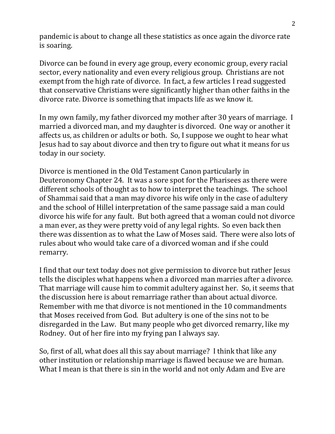pandemic is about to change all these statistics as once again the divorce rate is soaring.

Divorce can be found in every age group, every economic group, every racial sector, every nationality and even every religious group. Christians are not exempt from the high rate of divorce. In fact, a few articles I read suggested that conservative Christians were significantly higher than other faiths in the divorce rate. Divorce is something that impacts life as we know it.

In my own family, my father divorced my mother after 30 years of marriage. I married a divorced man, and my daughter is divorced. One way or another it affects us, as children or adults or both. So, I suppose we ought to hear what Jesus had to say about divorce and then try to figure out what it means for us today in our society.

Divorce is mentioned in the Old Testament Canon particularly in Deuteronomy Chapter 24. It was a sore spot for the Pharisees as there were different schools of thought as to how to interpret the teachings. The school of Shammai said that a man may divorce his wife only in the case of adultery and the school of Hillel interpretation of the same passage said a man could divorce his wife for any fault. But both agreed that a woman could not divorce a man ever, as they were pretty void of any legal rights. So even back then there was dissention as to what the Law of Moses said. There were also lots of rules about who would take care of a divorced woman and if she could remarry.

I find that our text today does not give permission to divorce but rather Jesus tells the disciples what happens when a divorced man marries after a divorce. That marriage will cause him to commit adultery against her. So, it seems that the discussion here is about remarriage rather than about actual divorce. Remember with me that divorce is not mentioned in the 10 commandments that Moses received from God. But adultery is one of the sins not to be disregarded in the Law. But many people who get divorced remarry, like my Rodney. Out of her fire into my frying pan I always say.

So, first of all, what does all this say about marriage? I think that like any other institution or relationship marriage is flawed because we are human. What I mean is that there is sin in the world and not only Adam and Eve are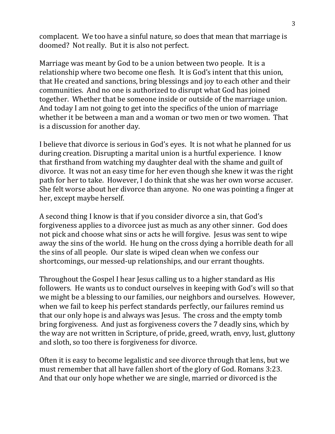complacent. We too have a sinful nature, so does that mean that marriage is doomed? Not really. But it is also not perfect.

Marriage was meant by God to be a union between two people. It is a relationship where two become one flesh. It is God's intent that this union, that He created and sanctions, bring blessings and joy to each other and their communities. And no one is authorized to disrupt what God has joined together. Whether that be someone inside or outside of the marriage union. And today I am not going to get into the specifics of the union of marriage whether it be between a man and a woman or two men or two women. That is a discussion for another day.

I believe that divorce is serious in God's eyes. It is not what he planned for us during creation. Disrupting a marital union is a hurtful experience. I know that firsthand from watching my daughter deal with the shame and guilt of divorce. It was not an easy time for her even though she knew it was the right path for her to take. However, I do think that she was her own worse accuser. She felt worse about her divorce than anyone. No one was pointing a finger at her, except maybe herself.

A second thing I know is that if you consider divorce a sin, that God's forgiveness applies to a divorcee just as much as any other sinner. God does not pick and choose what sins or acts he will forgive. Jesus was sent to wipe away the sins of the world. He hung on the cross dying a horrible death for all the sins of all people. Our slate is wiped clean when we confess our shortcomings, our messed-up relationships, and our errant thoughts.

Throughout the Gospel I hear Jesus calling us to a higher standard as His followers. He wants us to conduct ourselves in keeping with God's will so that we might be a blessing to our families, our neighbors and ourselves. However, when we fail to keep his perfect standards perfectly, our failures remind us that our only hope is and always was Jesus. The cross and the empty tomb bring forgiveness. And just as forgiveness covers the 7 deadly sins, which by the way are not written in Scripture, of pride, greed, wrath, envy, lust, gluttony and sloth, so too there is forgiveness for divorce.

Often it is easy to become legalistic and see divorce through that lens, but we must remember that all have fallen short of the glory of God. Romans 3:23. And that our only hope whether we are single, married or divorced is the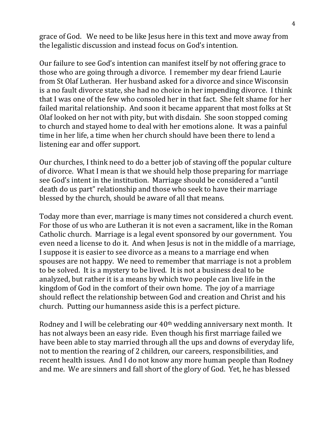grace of God. We need to be like Jesus here in this text and move away from the legalistic discussion and instead focus on God's intention.

Our failure to see God's intention can manifest itself by not offering grace to those who are going through a divorce. I remember my dear friend Laurie from St Olaf Lutheran. Her husband asked for a divorce and since Wisconsin is a no fault divorce state, she had no choice in her impending divorce. I think that I was one of the few who consoled her in that fact. She felt shame for her failed marital relationship. And soon it became apparent that most folks at St Olaf looked on her not with pity, but with disdain. She soon stopped coming to church and stayed home to deal with her emotions alone. It was a painful time in her life, a time when her church should have been there to lend a listening ear and offer support.

Our churches, I think need to do a better job of staving off the popular culture of divorce. What I mean is that we should help those preparing for marriage see God's intent in the institution. Marriage should be considered a "until death do us part" relationship and those who seek to have their marriage blessed by the church, should be aware of all that means.

Today more than ever, marriage is many times not considered a church event. For those of us who are Lutheran it is not even a sacrament, like in the Roman Catholic church. Marriage is a legal event sponsored by our government. You even need a license to do it. And when Jesus is not in the middle of a marriage, I suppose it is easier to see divorce as a means to a marriage end when spouses are not happy. We need to remember that marriage is not a problem to be solved. It is a mystery to be lived. It is not a business deal to be analyzed, but rather it is a means by which two people can live life in the kingdom of God in the comfort of their own home. The joy of a marriage should reflect the relationship between God and creation and Christ and his church. Putting our humanness aside this is a perfect picture.

Rodney and I will be celebrating our 40<sup>th</sup> wedding anniversary next month. It has not always been an easy ride. Even though his first marriage failed we have been able to stay married through all the ups and downs of everyday life, not to mention the rearing of 2 children, our careers, responsibilities, and recent health issues. And I do not know any more human people than Rodney and me. We are sinners and fall short of the glory of God. Yet, he has blessed